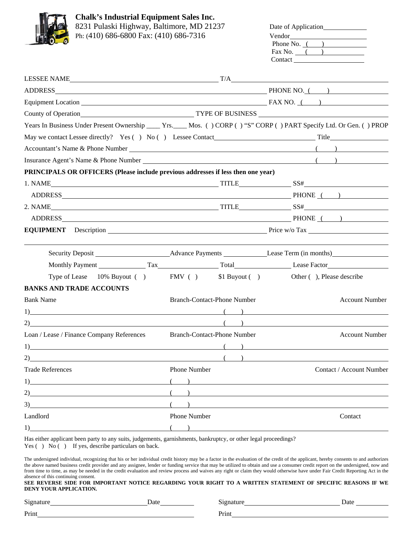

**Chalk's Industrial Equipment Sales Inc.**  8231 Pulaski Highway, Baltimore, MD 21237 Ph: (410) 686-6800 Fax: (410) 686-7316

|  | 8231 Pulaski Highway, Baltimore, MD 21237 | Date of Application |
|--|-------------------------------------------|---------------------|
|  | Ph: (410) 686-6800 Fax: (410) 686-7316    | Vendor              |
|  |                                           | Phone No.           |
|  |                                           | Fax No.             |
|  |                                           | Contact             |
|  |                                           |                     |

| ADDRESS PHONE NO. (2010)                                                                                                                                                                                                      |                                                          |  |                                                    |
|-------------------------------------------------------------------------------------------------------------------------------------------------------------------------------------------------------------------------------|----------------------------------------------------------|--|----------------------------------------------------|
|                                                                                                                                                                                                                               |                                                          |  |                                                    |
|                                                                                                                                                                                                                               |                                                          |  |                                                    |
| Years In Business Under Present Ownership ____ Yrs.___ Mos. () CORP () "S" CORP () PART Specify Ltd. Or Gen. () PROP                                                                                                          |                                                          |  |                                                    |
|                                                                                                                                                                                                                               |                                                          |  |                                                    |
|                                                                                                                                                                                                                               |                                                          |  |                                                    |
|                                                                                                                                                                                                                               |                                                          |  |                                                    |
| PRINCIPALS OR OFFICERS (Please include previous addresses if less then one year)                                                                                                                                              |                                                          |  |                                                    |
|                                                                                                                                                                                                                               |                                                          |  |                                                    |
| ADDRESS PHONE ( )                                                                                                                                                                                                             |                                                          |  |                                                    |
| 2. NAME STRING SOFIES AND SSET OF SSET OF A SSET OF SSET OF A SSET OF A SSET OF A SSET OF A SSET OF A SSET OF A SSET OF A SSET OF A SSET OF A SSET OF A SSET OF A SSET OF A SSET OF A SSET OF A SSET OF A SSET OF A SSET OF A |                                                          |  |                                                    |
| ADDRESS PHONE ( )                                                                                                                                                                                                             |                                                          |  |                                                    |
|                                                                                                                                                                                                                               | <b>EQUIPMENT</b> Description Price w/o Tax Price w/o Tax |  |                                                    |
|                                                                                                                                                                                                                               |                                                          |  |                                                    |
|                                                                                                                                                                                                                               |                                                          |  |                                                    |
| Type of Lease 10% Buyout ( ) FMV ( ) \$1 Buyout ( ) Other ( ), Please describe                                                                                                                                                |                                                          |  |                                                    |
| <b>BANKS AND TRADE ACCOUNTS</b>                                                                                                                                                                                               |                                                          |  |                                                    |
| <b>Bank Name</b>                                                                                                                                                                                                              | <b>Branch-Contact-Phone Number</b>                       |  | <b>Account Number</b>                              |
|                                                                                                                                                                                                                               |                                                          |  |                                                    |
| $\left( \begin{array}{c} 2 \end{array} \right)$                                                                                                                                                                               |                                                          |  |                                                    |
| Loan / Lease / Finance Company References                                                                                                                                                                                     | <b>Branch-Contact-Phone Number</b>                       |  | <b>Account Number</b>                              |
|                                                                                                                                                                                                                               |                                                          |  |                                                    |
| $2)$ and $2)$ and $2)$ and $2)$ and $2)$ and $2)$ and $2)$ and $2)$ and $2)$ and $2)$ and $2)$ and $2)$ and $2)$ and $2)$ and $2)$ and $2)$ and $2)$ and $2)$ and $2)$ and $2)$ and $2)$ and $2)$ and $2)$ and $2)$ and $2)$  |                                                          |  | $\left(\begin{array}{cc} 0 & 0 \end{array}\right)$ |
| <b>Trade References</b>                                                                                                                                                                                                       | <b>Phone Number</b>                                      |  | Contact / Account Number                           |
|                                                                                                                                                                                                                               |                                                          |  |                                                    |
| 2)                                                                                                                                                                                                                            |                                                          |  |                                                    |
| 3)                                                                                                                                                                                                                            |                                                          |  |                                                    |
| Landlord                                                                                                                                                                                                                      | <b>Phone Number</b>                                      |  | Contact                                            |
| 1)                                                                                                                                                                                                                            | $\overline{\phantom{a}}$                                 |  |                                                    |

Has either applicant been party to any suits, judgements, garnishments, bankruptcy, or other legal proceedings?

Yes () No () If yes, describe particulars on back.

The undersigned individual, recognizing that his or her individual credit history may be a factor in the evaluation of the credit of the applicant, hereby consents to and authorizes the above named business credit provider and any assignee, lender or funding service that may be utilized to obtain and use a consumer credit report on the undersigned, now and from time to time, as may be needed in the credit evaluation and review process and waives any right or claim they would otherwise have under Fair Credit Reporting Act in the absence of this continuing consent.

## **SEE REVERSE SIDE FOR IMPORTANT NOTICE REGARDING YOUR RIGHT TO A WRITTEN STATEMENT OF SPECIFIC REASONS IF WE DENY YOUR APPLICATION.**

Signature Date Date Date Signature Date Date Date

Print Print Print